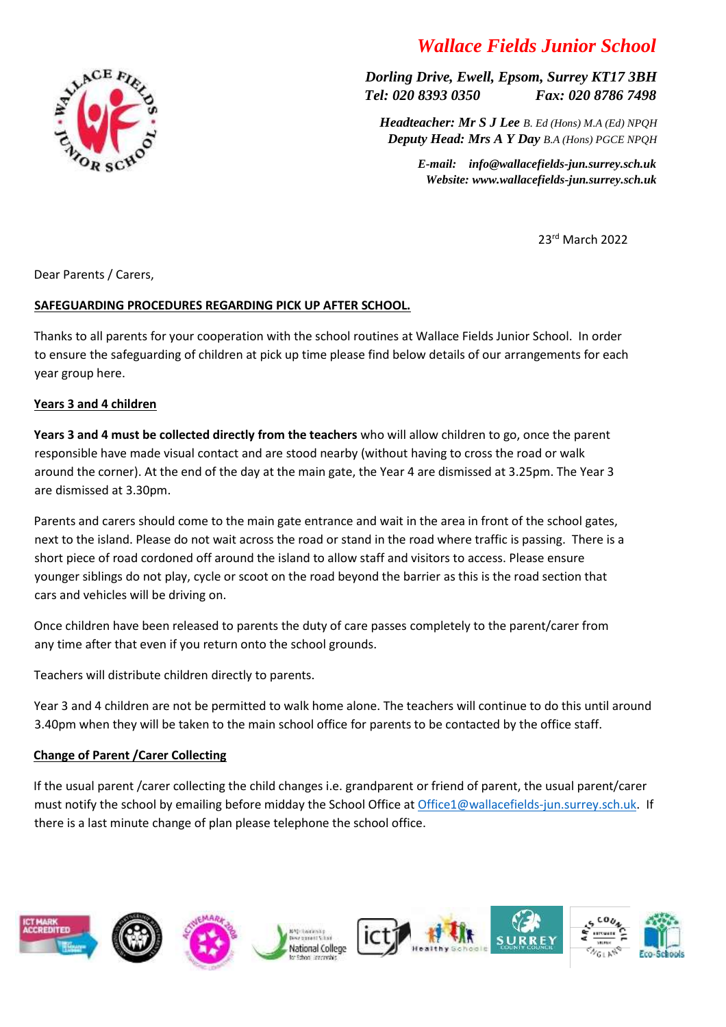# *Wallace Fields Junior School*

*Dorling Drive, Ewell, Epsom, Surrey KT17 3BH Tel: 020 8393 0350 Fax: 020 8786 7498*

 *Headteacher: Mr S J Lee B. Ed (Hons) M.A (Ed) NPQH Deputy Head: Mrs A Y Day B.A (Hons) PGCE NPQH*

> *E-mail: info@wallacefields-jun.surrey.sch.uk Website: www.wallacefields-jun.surrey.sch.uk*

> > 23rd March 2022

Dear Parents / Carers,

## **SAFEGUARDING PROCEDURES REGARDING PICK UP AFTER SCHOOL.**

Thanks to all parents for your cooperation with the school routines at Wallace Fields Junior School. In order to ensure the safeguarding of children at pick up time please find below details of our arrangements for each year group here.

#### **Years 3 and 4 children**

**Years 3 and 4 must be collected directly from the teachers** who will allow children to go, once the parent responsible have made visual contact and are stood nearby (without having to cross the road or walk around the corner). At the end of the day at the main gate, the Year 4 are dismissed at 3.25pm. The Year 3 are dismissed at 3.30pm.

Parents and carers should come to the main gate entrance and wait in the area in front of the school gates, next to the island. Please do not wait across the road or stand in the road where traffic is passing. There is a short piece of road cordoned off around the island to allow staff and visitors to access. Please ensure younger siblings do not play, cycle or scoot on the road beyond the barrier as this is the road section that cars and vehicles will be driving on.

Once children have been released to parents the duty of care passes completely to the parent/carer from any time after that even if you return onto the school grounds.

Teachers will distribute children directly to parents.

Year 3 and 4 children are not be permitted to walk home alone. The teachers will continue to do this until around 3.40pm when they will be taken to the main school office for parents to be contacted by the office staff.

#### **Change of Parent /Carer Collecting**

If the usual parent /carer collecting the child changes i.e. grandparent or friend of parent, the usual parent/carer must notify the school by emailing before midday the School Office at [Office1@wallacefields-jun.surrey.sch.uk.](mailto:Office1@wallacefields-jun.surrey.sch.uk) If there is a last minute change of plan please telephone the school office.



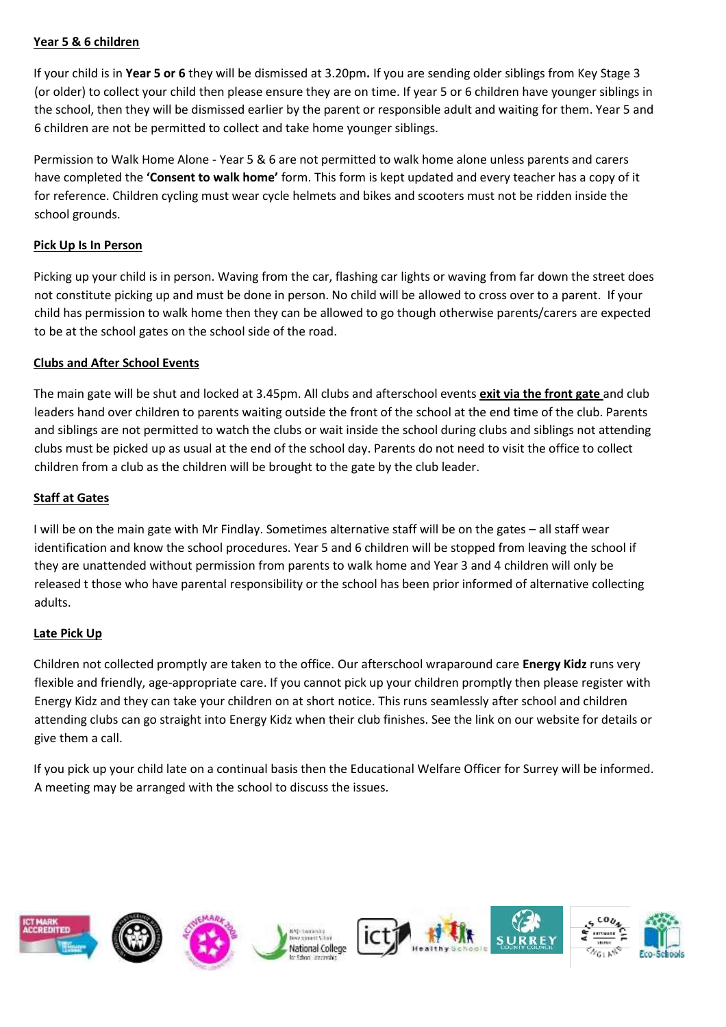#### **Year 5 & 6 children**

If your child is in **Year 5 or 6** they will be dismissed at 3.20pm**.** If you are sending older siblings from Key Stage 3 (or older) to collect your child then please ensure they are on time. If year 5 or 6 children have younger siblings in the school, then they will be dismissed earlier by the parent or responsible adult and waiting for them. Year 5 and 6 children are not be permitted to collect and take home younger siblings.

Permission to Walk Home Alone - Year 5 & 6 are not permitted to walk home alone unless parents and carers have completed the **'Consent to walk home'** form. This form is kept updated and every teacher has a copy of it for reference. Children cycling must wear cycle helmets and bikes and scooters must not be ridden inside the school grounds.

### **Pick Up Is In Person**

Picking up your child is in person. Waving from the car, flashing car lights or waving from far down the street does not constitute picking up and must be done in person. No child will be allowed to cross over to a parent. If your child has permission to walk home then they can be allowed to go though otherwise parents/carers are expected to be at the school gates on the school side of the road.

## **Clubs and After School Events**

The main gate will be shut and locked at 3.45pm. All clubs and afterschool events **exit via the front gate** and club leaders hand over children to parents waiting outside the front of the school at the end time of the club. Parents and siblings are not permitted to watch the clubs or wait inside the school during clubs and siblings not attending clubs must be picked up as usual at the end of the school day. Parents do not need to visit the office to collect children from a club as the children will be brought to the gate by the club leader.

## **Staff at Gates**

I will be on the main gate with Mr Findlay. Sometimes alternative staff will be on the gates – all staff wear identification and know the school procedures. Year 5 and 6 children will be stopped from leaving the school if they are unattended without permission from parents to walk home and Year 3 and 4 children will only be released t those who have parental responsibility or the school has been prior informed of alternative collecting adults.

#### **Late Pick Up**

Children not collected promptly are taken to the office. Our afterschool wraparound care **Energy Kidz** runs very flexible and friendly, age-appropriate care. If you cannot pick up your children promptly then please register with Energy Kidz and they can take your children on at short notice. This runs seamlessly after school and children attending clubs can go straight into Energy Kidz when their club finishes. See the link on our website for details or give them a call.

If you pick up your child late on a continual basis then the Educational Welfare Officer for Surrey will be informed. A meeting may be arranged with the school to discuss the issues.

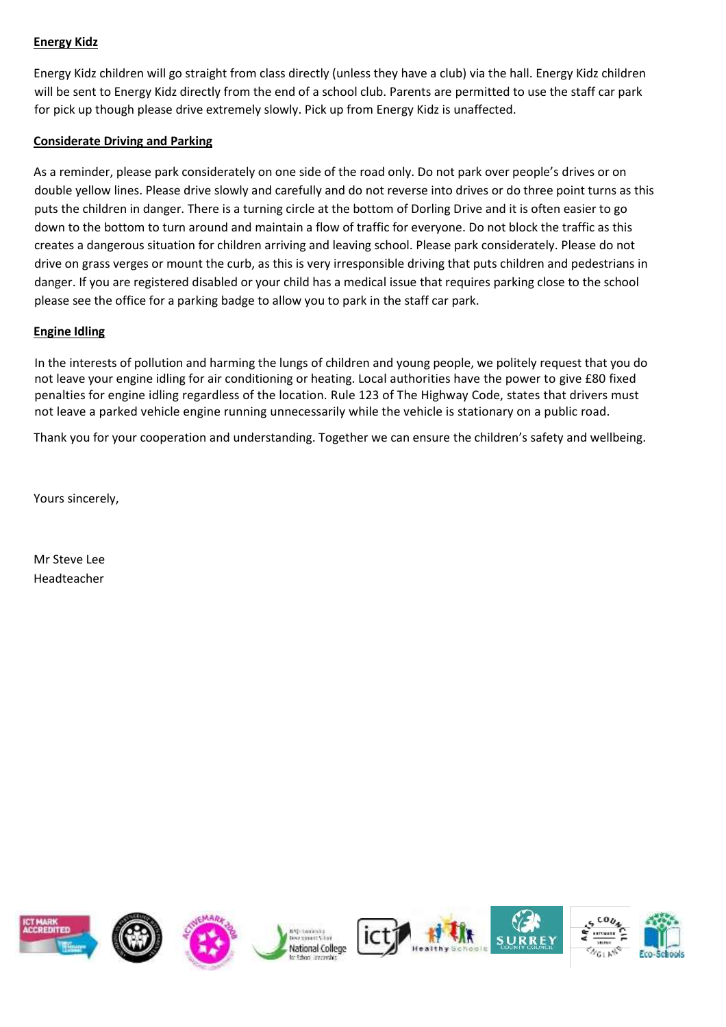### **Energy Kidz**

Energy Kidz children will go straight from class directly (unless they have a club) via the hall. Energy Kidz children will be sent to Energy Kidz directly from the end of a school club. Parents are permitted to use the staff car park for pick up though please drive extremely slowly. Pick up from Energy Kidz is unaffected.

## **Considerate Driving and Parking**

As a reminder, please park considerately on one side of the road only. Do not park over people's drives or on double yellow lines. Please drive slowly and carefully and do not reverse into drives or do three point turns as this puts the children in danger. There is a turning circle at the bottom of Dorling Drive and it is often easier to go down to the bottom to turn around and maintain a flow of traffic for everyone. Do not block the traffic as this creates a dangerous situation for children arriving and leaving school. Please park considerately. Please do not drive on grass verges or mount the curb, as this is very irresponsible driving that puts children and pedestrians in danger. If you are registered disabled or your child has a medical issue that requires parking close to the school please see the office for a parking badge to allow you to park in the staff car park.

## **Engine Idling**

In the interests of pollution and harming the lungs of children and young people, we politely request that you do not leave your engine idling for air conditioning or heating. Local authorities have the power to give £80 fixed penalties for engine idling regardless of the location. Rule 123 of The Highway Code, states that drivers must not leave a parked vehicle engine running unnecessarily while the vehicle is stationary on a public road.

Thank you for your cooperation and understanding. Together we can ensure the children's safety and wellbeing.

Yours sincerely,

Mr Steve Lee Headteacher